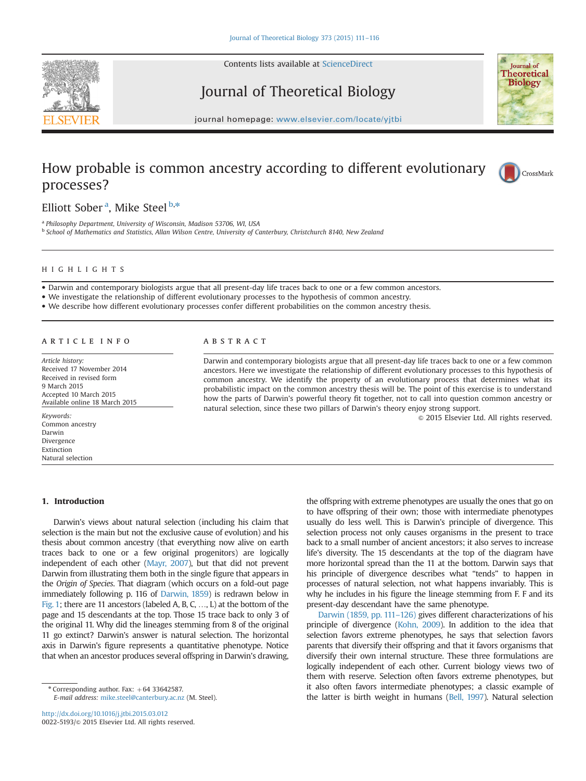

Contents lists available at [ScienceDirect](www.sciencedirect.com/science/journal/00225193)

# Journal of Theoretical Biology



journal homepage: <www.elsevier.com/locate/yjtbi>

## How probable is common ancestry according to different evolutionary processes?



Elliott Sober<sup>a</sup>, Mike Steel<sup>b,\*</sup>

<sup>a</sup> Philosophy Department, University of Wisconsin, Madison 53706, WI, USA <sup>b</sup> School of Mathematics and Statistics, Allan Wilson Centre, University of Canterbury, Christchurch 8140, New Zealand

## HIGHLIGHTS

Darwin and contemporary biologists argue that all present-day life traces back to one or a few common ancestors.

We investigate the relationship of different evolutionary processes to the hypothesis of common ancestry.

We describe how different evolutionary processes confer different probabilities on the common ancestry thesis.

#### article info

Article history: Received 17 November 2014 Received in revised form 9 March 2015 Accepted 10 March 2015 Available online 18 March 2015

Keywords: Common ancestry Darwin Divergence Extinction Natural selection

#### **ABSTRACT**

Darwin and contemporary biologists argue that all present-day life traces back to one or a few common ancestors. Here we investigate the relationship of different evolutionary processes to this hypothesis of common ancestry. We identify the property of an evolutionary process that determines what its probabilistic impact on the common ancestry thesis will be. The point of this exercise is to understand how the parts of Darwin's powerful theory fit together, not to call into question common ancestry or natural selection, since these two pillars of Darwin's theory enjoy strong support.

 $@$  2015 Elsevier Ltd. All rights reserved.

### 1. Introduction

Darwin's views about natural selection (including his claim that selection is the main but not the exclusive cause of evolution) and his thesis about common ancestry (that everything now alive on earth traces back to one or a few original progenitors) are logically independent of each other [\(Mayr, 2007\)](#page-5-0), but that did not prevent Darwin from illustrating them both in the single figure that appears in the Origin of Species. That diagram (which occurs on a fold-out page immediately following p. 116 of [Darwin, 1859\)](#page-5-0) is redrawn below in [Fig. 1](#page-1-0); there are 11 ancestors (labeled A, B, C, …, L) at the bottom of the page and 15 descendants at the top. Those 15 trace back to only 3 of the original 11. Why did the lineages stemming from 8 of the original 11 go extinct? Darwin's answer is natural selection. The horizontal axis in Darwin's figure represents a quantitative phenotype. Notice that when an ancestor produces several offspring in Darwin's drawing,

 $*$  Corresponding author. Fax:  $+64$  33642587. E-mail address: [mike.steel@canterbury.ac.nz](mailto:mike.steel@canterbury.ac.nz) (M. Steel).

<http://dx.doi.org/10.1016/j.jtbi.2015.03.012> 0022-5193/@ 2015 Elsevier Ltd. All rights reserved. the offspring with extreme phenotypes are usually the ones that go on to have offspring of their own; those with intermediate phenotypes usually do less well. This is Darwin's principle of divergence. This selection process not only causes organisms in the present to trace back to a small number of ancient ancestors; it also serves to increase life's diversity. The 15 descendants at the top of the diagram have more horizontal spread than the 11 at the bottom. Darwin says that his principle of divergence describes what "tends" to happen in processes of natural selection, not what happens invariably. This is why he includes in his figure the lineage stemming from F. F and its present-day descendant have the same phenotype.

[Darwin \(1859, pp. 111](#page-5-0)–126) gives different characterizations of his principle of divergence [\(Kohn, 2009\)](#page-5-0). In addition to the idea that selection favors extreme phenotypes, he says that selection favors parents that diversify their offspring and that it favors organisms that diversify their own internal structure. These three formulations are logically independent of each other. Current biology views two of them with reserve. Selection often favors extreme phenotypes, but it also often favors intermediate phenotypes; a classic example of the latter is birth weight in humans [\(Bell, 1997\)](#page-5-0). Natural selection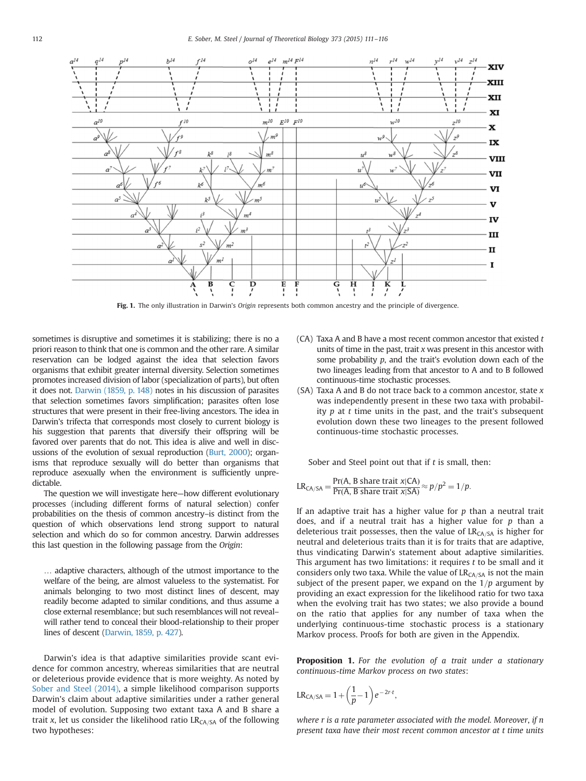<span id="page-1-0"></span>

Fig. 1. The only illustration in Darwin's Origin represents both common ancestry and the principle of divergence.

sometimes is disruptive and sometimes it is stabilizing; there is no a priori reason to think that one is common and the other rare. A similar reservation can be lodged against the idea that selection favors organisms that exhibit greater internal diversity. Selection sometimes promotes increased division of labor (specialization of parts), but often it does not. [Darwin \(1859, p. 148\)](#page-5-0) notes in his discussion of parasites that selection sometimes favors simplification; parasites often lose structures that were present in their free-living ancestors. The idea in Darwin's trifecta that corresponds most closely to current biology is his suggestion that parents that diversify their offspring will be favored over parents that do not. This idea is alive and well in discussions of the evolution of sexual reproduction [\(Burt, 2000](#page-5-0)); organisms that reproduce sexually will do better than organisms that reproduce asexually when the environment is sufficiently unpredictable.

The question we will investigate here—how different evolutionary processes (including different forms of natural selection) confer probabilities on the thesis of common ancestry–is distinct from the question of which observations lend strong support to natural selection and which do so for common ancestry. Darwin addresses this last question in the following passage from the Origin:

… adaptive characters, although of the utmost importance to the welfare of the being, are almost valueless to the systematist. For animals belonging to two most distinct lines of descent, may readily become adapted to similar conditions, and thus assume a close external resemblance; but such resemblances will not reveal– will rather tend to conceal their blood-relationship to their proper lines of descent ([Darwin, 1859, p. 427](#page-5-0)).

Darwin's idea is that adaptive similarities provide scant evidence for common ancestry, whereas similarities that are neutral or deleterious provide evidence that is more weighty. As noted by [Sober and Steel \(2014\),](#page-5-0) a simple likelihood comparison supports Darwin's claim about adaptive similarities under a rather general model of evolution. Supposing two extant taxa A and B share a trait x, let us consider the likelihood ratio  $LR<sub>CA/SA</sub>$  of the following two hypotheses:

- (CA) Taxa A and B have a most recent common ancestor that existed  $t$ units of time in the past, trait  $x$  was present in this ancestor with some probability p, and the trait's evolution down each of the two lineages leading from that ancestor to A and to B followed continuous-time stochastic processes.
- $(SA)$  Taxa A and B do not trace back to a common ancestor, state  $x$ was independently present in these two taxa with probability  $p$  at  $t$  time units in the past, and the trait's subsequent evolution down these two lineages to the present followed continuous-time stochastic processes.

Sober and Steel point out that if  $t$  is small, then:

$$
LR_{CA/SA} = \frac{Pr(A, B \text{ share trait } x | CA)}{Pr(A, B \text{ share trait } x | SA)} \approx p/p^2 = 1/p.
$$

If an adaptive trait has a higher value for  $p$  than a neutral trait does, and if a neutral trait has a higher value for  $p$  than a deleterious trait possesses, then the value of  $LR<sub>CA/SA</sub>$  is higher for neutral and deleterious traits than it is for traits that are adaptive, thus vindicating Darwin's statement about adaptive similarities. This argument has two limitations: it requires  $t$  to be small and it considers only two taxa. While the value of  $LR<sub>CA/SA</sub>$  is not the main subject of the present paper, we expand on the  $1/p$  argument by providing an exact expression for the likelihood ratio for two taxa when the evolving trait has two states; we also provide a bound on the ratio that applies for any number of taxa when the underlying continuous-time stochastic process is a stationary Markov process. Proofs for both are given in the Appendix.

**Proposition 1.** For the evolution of a trait under a stationary continuous-time Markov process on two states:

$$
\text{LR}_{\text{CA/SA}} = 1 + \left(\frac{1}{p} - 1\right)e^{-2r \cdot t},
$$

where r is a rate parameter associated with the model. Moreover, if n present taxa have their most recent common ancestor at t time units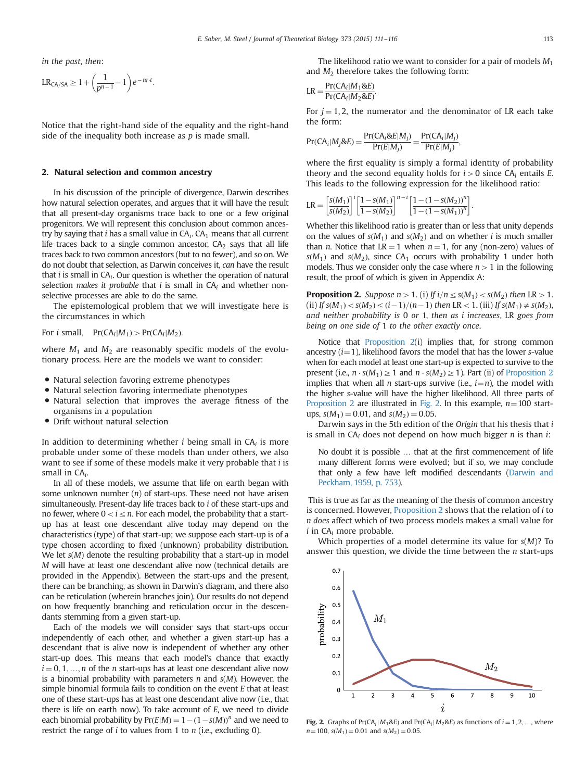in the past, then:

$$
\text{LR}_{\text{CA/SA}} \geq 1 + \left(\frac{1}{p^{n-1}} - 1\right) e^{-nr \cdot t}.
$$

Notice that the right-hand side of the equality and the right-hand side of the inequality both increase as  $p$  is made small.

#### 2. Natural selection and common ancestry

In his discussion of the principle of divergence, Darwin describes how natural selection operates, and argues that it will have the result that all present-day organisms trace back to one or a few original progenitors. We will represent this conclusion about common ancestry by saying that *i* has a small value in  $CA_i$ .  $CA_1$  means that all current life traces back to a single common ancestor,  $CA<sub>2</sub>$  says that all life traces back to two common ancestors (but to no fewer), and so on. We do not doubt that selection, as Darwin conceives it, can have the result that  $i$  is small in  $CA_i$ . Our question is whether the operation of natural selection makes it probable that i is small in  $CA_i$  and whether nonselective processes are able to do the same.

The epistemological problem that we will investigate here is the circumstances in which

For *i* small,  $Pr(CA_i|M_1) > Pr(CA_i|M_2)$ .

where  $M_1$  and  $M_2$  are reasonably specific models of the evolutionary process. Here are the models we want to consider:

- Natural selection favoring extreme phenotypes<br>• Natural selection favoring intermediate phenot
- Natural selection favoring intermediate phenotypes<br>• Natural selection that improves the average fitn
- Natural selection that improves the average fitness of the organisms in a population
- Drift without natural selection

In addition to determining whether  $i$  being small in  $CA_i$  is more probable under some of these models than under others, we also want to see if some of these models make it very probable that i is small in  $CA_i$ .

In all of these models, we assume that life on earth began with some unknown number  $(n)$  of start-ups. These need not have arisen simultaneously. Present-day life traces back to i of these start-ups and no fewer, where  $0 < i \leq n$ . For each model, the probability that a startup has at least one descendant alive today may depend on the characteristics (type) of that start-up; we suppose each start-up is of a type chosen according to fixed (unknown) probability distribution. We let  $s(M)$  denote the resulting probability that a start-up in model M will have at least one descendant alive now (technical details are provided in the Appendix). Between the start-ups and the present, there can be branching, as shown in Darwin's diagram, and there also can be reticulation (wherein branches join). Our results do not depend on how frequently branching and reticulation occur in the descendants stemming from a given start-up.

Each of the models we will consider says that start-ups occur independently of each other, and whether a given start-up has a descendant that is alive now is independent of whether any other start-up does. This means that each model's chance that exactly  $i = 0, 1, ..., n$  of the *n* start-ups has at least one descendant alive now is a binomial probability with parameters  $n$  and  $s(M)$ . However, the simple binomial formula fails to condition on the event E that at least one of these start-ups has at least one descendant alive now (i.e., that there is life on earth now). To take account of E, we need to divide each binomial probability by  $Pr(E|M) = 1 - (1 - s(M))^n$  and we need to restrict the range of  $i$  to values from 1 to  $n$  (i.e., excluding 0).

The likelihood ratio we want to consider for a pair of models  $M_1$ and  $M_2$  therefore takes the following form:

$$
LR = \frac{Pr(CA_i|M_1 \& E)}{Pr(CA_i|M_2 \& E)}.
$$

For  $j = 1, 2$ , the numerator and the denominator of LR each take the form:

$$
Pr(CA_i|M_j \& E) = \frac{Pr(CA_i \& E|M_j)}{Pr(E|M_j)} = \frac{Pr(CA_i|M_j)}{Pr(E|M_j)},
$$

where the first equality is simply a formal identity of probability theory and the second equality holds for  $i>0$  since CA<sub>i</sub> entails E. This leads to the following expression for the likelihood ratio:

$$
LR = \left[\frac{s(M_1)}{s(M_2)}\right]^i \left[\frac{1 - s(M_1)}{1 - s(M_2)}\right]^{n-i} \left[\frac{1 - (1 - s(M_2))^{n}}{1 - (1 - s(M_1))^{n}}\right].
$$

Whether this likelihood ratio is greater than or less that unity depends on the values of  $s(M_1)$  and  $s(M_2)$  and on whether *i* is much smaller than *n*. Notice that  $LR = 1$  when  $n = 1$ , for any (non-zero) values of  $s(M_1)$  and  $s(M_2)$ , since CA<sub>1</sub> occurs with probability 1 under both models. Thus we consider only the case where  $n>1$  in the following result, the proof of which is given in Appendix A:

**Proposition 2.** Suppose  $n>1$ . (i) If  $i/n \leq s(M_1) < s(M_2)$  then LR  $>1$ . (ii) If  $s(M_1) < s(M_2) \leq (i-1)/(n-1)$  then LR < 1. (iii) If  $s(M_1) \neq s(M_2)$ , and neither probability is 0 or 1, then as i increases, LR goes from being on one side of 1 to the other exactly once.

Notice that Proposition 2(i) implies that, for strong common ancestry  $(i=1)$ , likelihood favors the model that has the lower s-value when for each model at least one start-up is expected to survive to the present (i.e.,  $n \cdot s(M_1) \geq 1$  and  $n \cdot s(M_2) \geq 1$ ). Part (ii) of Proposition 2 implies that when all *n* start-ups survive (i.e.,  $i=n$ ), the model with the higher s-value will have the higher likelihood. All three parts of Proposition 2 are illustrated in Fig. 2. In this example,  $n=100$  startups,  $s(M_1) = 0.01$ , and  $s(M_2) = 0.05$ .

Darwin says in the 5th edition of the Origin that his thesis that i is small in  $CA_i$  does not depend on how much bigger *n* is than *i*:

No doubt it is possible … that at the first commencement of life many different forms were evolved; but if so, we may conclude that only a few have left modified descendants [\(Darwin and](#page-5-0) [Peckham, 1959, p. 753\)](#page-5-0).

This is true as far as the meaning of the thesis of common ancestry is concerned. However, Proposition 2 shows that the relation of i to n does affect which of two process models makes a small value for  $i$  in CA<sub>i</sub> more probable.

Which properties of a model determine its value for  $s(M)$ ? To answer this question, we divide the time between the  $n$  start-ups



Fig. 2. Graphs of  $Pr(CA_i | M_1 \& E)$  and  $Pr(CA_i | M_2 \& E)$  as functions of  $i = 1, 2, ...,$  where  $n=100$ ,  $s(M_1)=0.01$  and  $s(M_2)=0.05$ .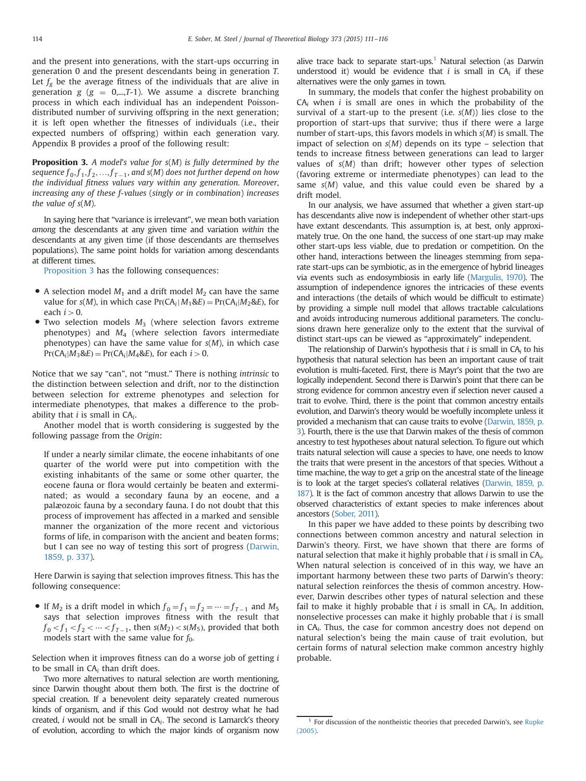and the present into generations, with the start-ups occurring in generation 0 and the present descendants being in generation T. Let  $f_g$  be the average fitness of the individuals that are alive in generation  $g$  ( $g = 0,...,T-1$ ). We assume a discrete branching process in which each individual has an independent Poissondistributed number of surviving offspring in the next generation; it is left open whether the fitnesses of individuals (i.e., their expected numbers of offspring) within each generation vary. Appendix B provides a proof of the following result:

**Proposition 3.** A model's value for  $s(M)$  is fully determined by the sequence  $f_0, f_1, f_2, ..., f_{T-1}$ , and  $s(M)$  does not further depend on how the individual fitness values vary within any generation. Moreover, increasing any of these f-values (singly or in combination) increases the value of  $s(M)$ .

In saying here that "variance is irrelevant", we mean both variation among the descendants at any given time and variation within the descendants at any given time (if those descendants are themselves populations). The same point holds for variation among descendants at different times.

Proposition 3 has the following consequences:

- A selection model  $M_1$  and a drift model  $M_2$  can have the same value for  $s(M)$ , in which case  $Pr(CA_i|M_1\&E) = Pr(CA_i|M_2\&E)$ , for each  $i>0$ .
- $\bullet$  Two selection models  $M_3$  (where selection favors extreme phenotypes) and  $M_4$  (where selection favors intermediate phenotypes) can have the same value for  $s(M)$ , in which case  $Pr(CA_i|M_3\&E) = Pr(CA_i|M_4\&E)$ , for each  $i>0$ .

Notice that we say "can", not "must." There is nothing intrinsic to the distinction between selection and drift, nor to the distinction between selection for extreme phenotypes and selection for intermediate phenotypes, that makes a difference to the probability that  $i$  is small in  $CA_i$ .

Another model that is worth considering is suggested by the following passage from the Origin:

If under a nearly similar climate, the eocene inhabitants of one quarter of the world were put into competition with the existing inhabitants of the same or some other quarter, the eocene fauna or flora would certainly be beaten and exterminated; as would a secondary fauna by an eocene, and a palæozoic fauna by a secondary fauna. I do not doubt that this process of improvement has affected in a marked and sensible manner the organization of the more recent and victorious forms of life, in comparison with the ancient and beaten forms; but I can see no way of testing this sort of progress ([Darwin,](#page-5-0) [1859, p. 337](#page-5-0)).

Here Darwin is saying that selection improves fitness. This has the following consequence:

If  $M_2$  is a drift model in which  $f_0 = f_1 = f_2 = \cdots = f_{T-1}$  and  $M_5$ says that selection improves fitness with the result that  $f_0 < f_1 < f_2 < \cdots < f_{T-1}$ , then  $s(M_2) < s(M_5)$ , provided that both models start with the same value for  $f_0$ .

Selection when it improves fitness can do a worse job of getting i to be small in  $CA_i$  than drift does.

Two more alternatives to natural selection are worth mentioning, since Darwin thought about them both. The first is the doctrine of special creation. If a benevolent deity separately created numerous kinds of organism, and if this God would not destroy what he had created, *i* would not be small in  $CA_i$ . The second is Lamarck's theory of evolution, according to which the major kinds of organism now

alive trace back to separate start-ups.<sup>1</sup> Natural selection (as Darwin understood it) would be evidence that  $i$  is small in  $CA_i$  if these alternatives were the only games in town.

In summary, the models that confer the highest probability on  $CA<sub>i</sub>$  when *i* is small are ones in which the probability of the survival of a start-up to the present (i.e.  $s(M)$ ) lies close to the proportion of start-ups that survive; thus if there were a large number of start-ups, this favors models in which  $s(M)$  is small. The impact of selection on  $s(M)$  depends on its type – selection that tends to increase fitness between generations can lead to larger values of s(M) than drift; however other types of selection (favoring extreme or intermediate phenotypes) can lead to the same  $s(M)$  value, and this value could even be shared by a drift model.

In our analysis, we have assumed that whether a given start-up has descendants alive now is independent of whether other start-ups have extant descendants. This assumption is, at best, only approximately true. On the one hand, the success of one start-up may make other start-ups less viable, due to predation or competition. On the other hand, interactions between the lineages stemming from separate start-ups can be symbiotic, as in the emergence of hybrid lineages via events such as endosymbiosis in early life [\(Margulis, 1970](#page-5-0)). The assumption of independence ignores the intricacies of these events and interactions (the details of which would be difficult to estimate) by providing a simple null model that allows tractable calculations and avoids introducing numerous additional parameters. The conclusions drawn here generalize only to the extent that the survival of distinct start-ups can be viewed as "approximately" independent.

The relationship of Darwin's hypothesis that  $i$  is small in  $CA_i$  to his hypothesis that natural selection has been an important cause of trait evolution is multi-faceted. First, there is Mayr's point that the two are logically independent. Second there is Darwin's point that there can be strong evidence for common ancestry even if selection never caused a trait to evolve. Third, there is the point that common ancestry entails evolution, and Darwin's theory would be woefully incomplete unless it provided a mechanism that can cause traits to evolve [\(Darwin, 1859, p.](#page-5-0) [3](#page-5-0)). Fourth, there is the use that Darwin makes of the thesis of common ancestry to test hypotheses about natural selection. To figure out which traits natural selection will cause a species to have, one needs to know the traits that were present in the ancestors of that species. Without a time machine, the way to get a grip on the ancestral state of the lineage is to look at the target species's collateral relatives [\(Darwin, 1859, p.](#page-5-0) [187](#page-5-0)). It is the fact of common ancestry that allows Darwin to use the observed characteristics of extant species to make inferences about ancestors [\(Sober, 2011\)](#page-5-0).

In this paper we have added to these points by describing two connections between common ancestry and natural selection in Darwin's theory. First, we have shown that there are forms of natural selection that make it highly probable that  $i$  is small in  $CA_i$ . When natural selection is conceived of in this way, we have an important harmony between these two parts of Darwin's theory: natural selection reinforces the thesis of common ancestry. However, Darwin describes other types of natural selection and these fail to make it highly probable that  $i$  is small in  $CA_i$ . In addition, nonselective processes can make it highly probable that  $i$  is small in  $CA_i$ . Thus, the case for common ancestry does not depend on natural selection's being the main cause of trait evolution, but certain forms of natural selection make common ancestry highly probable.

 $^{\rm 1}$  For discussion of the nontheistic theories that preceded Darwin's, see [Rupke](#page-5-0) [\(2005\).](#page-5-0)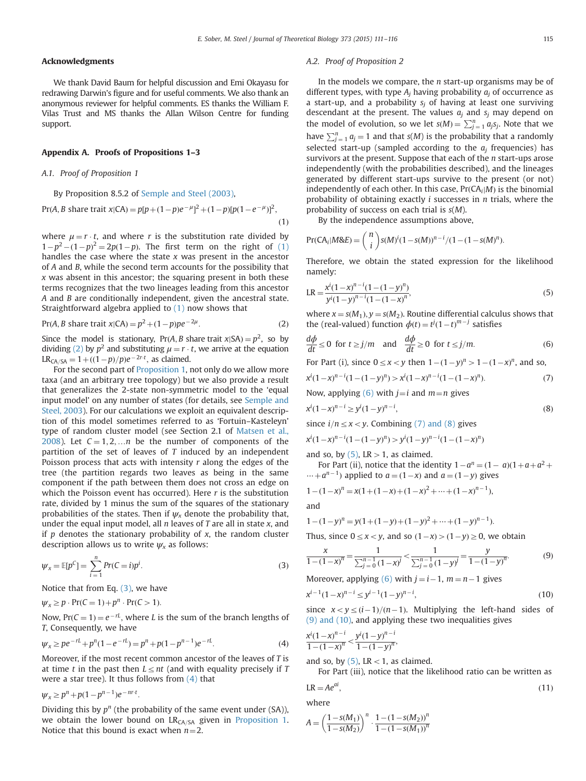#### <span id="page-4-0"></span>Acknowledgments

We thank David Baum for helpful discussion and Emi Okayasu for redrawing Darwin's figure and for useful comments. We also thank an anonymous reviewer for helpful comments. ES thanks the William F. Vilas Trust and MS thanks the Allan Wilson Centre for funding support.

#### Appendix A. Proofs of Propositions 1–3

### A.1. Proof of Proposition 1

By Proposition 8.5.2 of [Semple and Steel \(2003\),](#page-5-0)

 $Pr(A, B \text{ share trait } x | CA) = p[p + (1-p)e^{-\mu}]^2 + (1-p)[p(1-e^{-\mu})]^2,$  $(1)$ 

where  $\mu = r \cdot t$ , and where r is the substitution rate divided by  $1-p^2-(1-p)^2=2p(1-p)$ . The first term on the right of (1) handles the case where the state x was present in the appettor handles the case where the state x was present in the ancestor of A and B, while the second term accounts for the possibility that  $x$  was absent in this ancestor; the squaring present in both these terms recognizes that the two lineages leading from this ancestor A and B are conditionally independent, given the ancestral state. Straightforward algebra applied to  $(1)$  now shows that

$$
Pr(A, B \text{ share trait } x | CA) = p^2 + (1 - p)pe^{-2\mu}.
$$
 (2)

Since the model is stationary, Pr(A, B share trait  $x|SA$ ) =  $p^2$ , so by dividing (2) by  $p^2$  and substituting  $\mu = r \cdot t$ , we arrive at the equation  $LR_{CA/SA} = 1 + ((1-p)/p)e^{-2rt}$ , as claimed.<br>For the second part of Proposition 1.

For the second part of [Proposition 1,](#page-1-0) not only do we allow more taxa (and an arbitrary tree topology) but we also provide a result that generalizes the 2-state non-symmetric model to the 'equal input model' on any number of states (for details, see [Semple and](#page-5-0) [Steel, 2003](#page-5-0)). For our calculations we exploit an equivalent description of this model sometimes referred to as 'Fortuin–Kasteleyn' type of random cluster model (see Section 2.1 of [Matsen et al.,](#page-5-0) [2008\)](#page-5-0). Let  $C = 1, 2, \dots n$  be the number of components of the partition of the set of leaves of  $T$  induced by an independent Poisson process that acts with intensity  $r$  along the edges of the tree (the partition regards two leaves as being in the same component if the path between them does not cross an edge on which the Poisson event has occurred). Here  $r$  is the substitution rate, divided by 1 minus the sum of the squares of the stationary probabilities of the states. Then if  $\psi_x$  denote the probability that, under the equal input model, all  $n$  leaves of  $T$  are all in state  $x$ , and if  $p$  denotes the stationary probability of  $x$ , the random cluster description allows us to write  $\psi_x$  as follows:

$$
\psi_x = \mathbb{E}[p^C] = \sum_{i=1}^n Pr(C=i)p^i.
$$
\n(3)

Notice that from Eq.  $(3)$ , we have

$$
\psi_x \ge p \cdot \Pr(C = 1) + p^n \cdot \Pr(C > 1).
$$

Now,  $Pr(C = 1) = e^{-rL}$ , where L is the sum of the branch lengths of T, Consequently, we have

$$
\psi_x \ge p e^{-rt} + p^n (1 - e^{-rt}) = p^n + p(1 - p^{n-1}) e^{-rt}.
$$
\n(4)

Moreover, if the most recent common ancestor of the leaves of T is at time t in the past then  $L \le nt$  (and with equality precisely if T were a star tree). It thus follows from  $(4)$  that

$$
\psi_x \ge p^n + p(1 - p^{n-1})e^{-nr \cdot t}.
$$

Dividing this by  $p^n$  (the probability of the same event under (SA)), we obtain the lower bound on  $LR<sub>CA/SA</sub>$  given in [Proposition 1.](#page-1-0) Notice that this bound is exact when  $n=2$ .

#### A.2. Proof of Proposition 2

In the models we compare, the  $n$  start-up organisms may be of different types, with type  $A_i$  having probability  $a_i$  of occurrence as a start-up, and a probability  $s_i$  of having at least one surviving descendant at the present. The values  $a_i$  and  $s_i$  may depend on the model of evolution, so we let  $s(M) = \sum_{j=1}^{n} a_j s_j$ . Note that we have  $\sum_{j=1}^{n} a_j s_j$ . have  $\sum_{j=1}^{n} a_j = 1$  and that  $s(M)$  is the probability that a randomly selected start up (campled according to the s frequencies) has selected start-up (sampled according to the  $a_i$  frequencies) has survivors at the present. Suppose that each of the n start-ups arose independently (with the probabilities described), and the lineages generated by different start-ups survive to the present (or not) independently of each other. In this case,  $Pr(CA_i|M)$  is the binomial probability of obtaining exactly  $i$  successes in  $n$  trials, where the probability of success on each trial is s(M).

By the independence assumptions above,

$$
Pr(CA_i|M\&E) = {n \choose i} s(M)^i (1 - s(M))^{n-i} / (1 - (1 - s(M))^{n}).
$$

Therefore, we obtain the stated expression for the likelihood namely:

$$
LR = \frac{x^{i}(1-x)^{n-i}(1-(1-y)^{n})}{y^{i}(1-y)^{n-i}(1-(1-x)^{n})},
$$
\n(5)

where  $x = s(M_1), y = s(M_2)$ . Routine differential calculus shows that the (real-valued) function  $\phi(t) = t/(1 - t)^{m-j}$  satisfies the (real-valued) function  $\phi(t) = t^j (1-t)^{m-j}$  satisfies

$$
\frac{d\phi}{dt} \le 0 \text{ for } t \ge j/m \text{ and } \frac{d\phi}{dt} \ge 0 \text{ for } t \le j/m. \tag{6}
$$

For Part (i), since  $0 \le x < y$  then  $1 - (1 - y)^n > 1 - (1 - x)^n$ , and so,

$$
x^{i}(1-x)^{n-i}(1-(1-y)^{n}) > x^{i}(1-x)^{n-i}(1-(1-x)^{n}).
$$
\n(7)

Now, applying (6) with  $j=i$  and  $m=n$  gives

$$
x^{i}(1-x)^{n-i} \ge y^{i}(1-y)^{n-i},
$$
\n(8)

since  $i/n \le x < y$ . Combining (7) and (8) gives

$$
x^{i}(1-x)^{n-i}(1-(1-y)^{n}) > y^{i}(1-y)^{n-i}(1-(1-x)^{n})
$$

and so, by  $(5)$ , LR  $> 1$ , as claimed.

For Part (ii), notice that the identity  $1-a^n = (1-a)(1+a+a^2 + b^2)$  $\cdots + a^{n-1}$ ) applied to  $a = (1-x)$  and  $a = (1-y)$  gives

$$
1 - (1 - x)^n = x(1 + (1 - x) + (1 - x)^2 + \dots + (1 - x)^{n-1}),
$$

and

$$
1 - (1 - y)^n = y(1 + (1 - y) + (1 - y)^2 + \dots + (1 - y)^{n - 1}).
$$
  
Thus, since  $0 \le x < y$ , and so  $(1 - x) > (1 - y) \ge 0$ , we obtain

$$
\frac{x}{1 - (1 - x)^n} = \frac{1}{\sum_{j=0}^{n-1} (1 - x)^j} < \frac{1}{\sum_{j=0}^{n-1} (1 - y)^j} = \frac{y}{1 - (1 - y)^n}.
$$
(9)

Moreover, applying (6) with  $j = i-1$ ,  $m = n-1$  gives<br> $x^{i-1}(1-x)^{n-i} < y^{i-1}(1-y)^{n-i}$ 

$$
x^{i-1}(1-x)^{n-i} \le y^{i-1}(1-y)^{n-i},\tag{10}
$$

since  $x < y \leq (i-1)/(n-1)$ . Multiplying the left-hand sides of (9) and (10), and applying these two inequalities gives

$$
\frac{x^{i}(1-x)^{n-i}}{1-(1-x)^{n}} < \frac{y^{i}(1-y)^{n-i}}{1-(1-y)^{n}}
$$

and so, by  $(5)$ , LR  $< 1$ , as claimed.

For Part (iii), notice that the likelihood ratio can be written as

$$
LR = Ae^{ai},\tag{11}
$$

where

$$
A = \left(\frac{1 - s(M_1)}{1 - s(M_2)}\right)^n \cdot \frac{1 - (1 - s(M_2))^n}{1 - (1 - s(M_1))^n}
$$